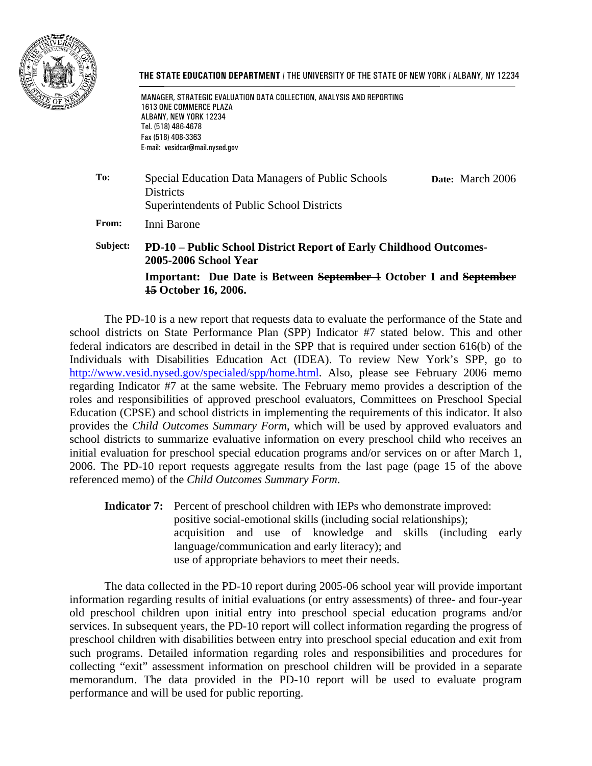

#### **THE STATE EDUCATION DEPARTMENT** / THE UNIVERSITY OF THE STATE OF NEW YORK / ALBANY, NY 12234

 MANAGER, STRATEGIC EVALUATION DATA COLLECTION, ANALYSIS AND REPORTING 1613 ONE COMMERCE PLAZA ALBANY, NEW YORK 12234 Tel. (518) 486-4678 Fax (518) 408-3363 E-mail: vesidcar@mail.nysed.gov

**To:** Special Education Data Managers of Public Schools **Districts** Superintendents of Public School Districts **Date:** March 2006

**From:** Inni Barone

**Subject: PD-10 – Public School District Report of Early Childhood Outcomes-2005-2006 School Year Important: Due Date is Between September 1 October 1 and September 15 October 16, 2006.**

The PD-10 is a new report that requests data to evaluate the performance of the State and school districts on State Performance Plan (SPP) Indicator #7 stated below. This and other federal indicators are described in detail in the SPP that is required under section 616(b) of the Individuals with Disabilities Education Act (IDEA). To review New York's SPP, go to http://www.vesid.nysed.gov/specialed/spp/home.html. Also, please see February 2006 memo regarding Indicator #7 at the same website. The February memo provides a description of the roles and responsibilities of approved preschool evaluators, Committees on Preschool Special Education (CPSE) and school districts in implementing the requirements of this indicator. It also provides the *Child Outcomes Summary Form*, which will be used by approved evaluators and school districts to summarize evaluative information on every preschool child who receives an initial evaluation for preschool special education programs and/or services on or after March 1, 2006. The PD-10 report requests aggregate results from the last page (page 15 of the above referenced memo) of the *Child Outcomes Summary Form*.

**Indicator 7:** Percent of preschool children with IEPs who demonstrate improved: positive social-emotional skills (including social relationships); acquisition and use of knowledge and skills (including early language/communication and early literacy); and use of appropriate behaviors to meet their needs.

The data collected in the PD-10 report during 2005-06 school year will provide important information regarding results of initial evaluations (or entry assessments) of three- and four-year old preschool children upon initial entry into preschool special education programs and/or services. In subsequent years, the PD-10 report will collect information regarding the progress of preschool children with disabilities between entry into preschool special education and exit from such programs. Detailed information regarding roles and responsibilities and procedures for collecting "exit" assessment information on preschool children will be provided in a separate memorandum. The data provided in the PD-10 report will be used to evaluate program performance and will be used for public reporting.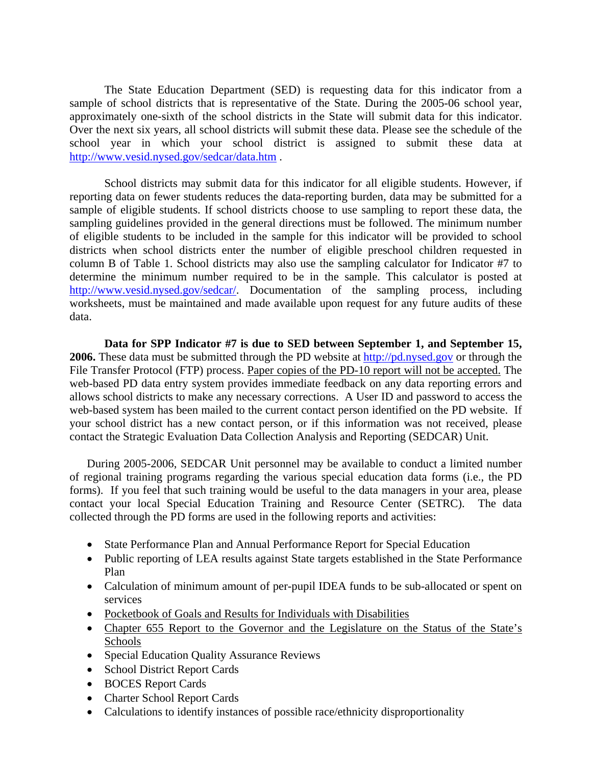The State Education Department (SED) is requesting data for this indicator from a sample of school districts that is representative of the State. During the 2005-06 school year, approximately one-sixth of the school districts in the State will submit data for this indicator. Over the next six years, all school districts will submit these data. Please see the schedule of the school year in which your school district is assigned to submit these data at http://www.vesid.nysed.gov/sedcar/data.htm .

School districts may submit data for this indicator for all eligible students. However, if reporting data on fewer students reduces the data-reporting burden, data may be submitted for a sample of eligible students. If school districts choose to use sampling to report these data, the sampling guidelines provided in the general directions must be followed. The minimum number of eligible students to be included in the sample for this indicator will be provided to school districts when school districts enter the number of eligible preschool children requested in column B of Table 1. School districts may also use the sampling calculator for Indicator #7 to determine the minimum number required to be in the sample. This calculator is posted at http://www.vesid.nysed.gov/sedcar/. Documentation of the sampling process, including worksheets, must be maintained and made available upon request for any future audits of these data.

**Data for SPP Indicator #7 is due to SED between September 1, and September 15, 2006.** These data must be submitted through the PD website at http://pd.nysed.gov or through the File Transfer Protocol (FTP) process. Paper copies of the PD-10 report will not be accepted. The web-based PD data entry system provides immediate feedback on any data reporting errors and allows school districts to make any necessary corrections. A User ID and password to access the web-based system has been mailed to the current contact person identified on the PD website. If your school district has a new contact person, or if this information was not received, please contact the Strategic Evaluation Data Collection Analysis and Reporting (SEDCAR) Unit.

During 2005-2006, SEDCAR Unit personnel may be available to conduct a limited number of regional training programs regarding the various special education data forms (i.e., the PD forms). If you feel that such training would be useful to the data managers in your area, please contact your local Special Education Training and Resource Center (SETRC). The data collected through the PD forms are used in the following reports and activities:

- State Performance Plan and Annual Performance Report for Special Education
- Public reporting of LEA results against State targets established in the State Performance Plan
- Calculation of minimum amount of per-pupil IDEA funds to be sub-allocated or spent on services
- Pocketbook of Goals and Results for Individuals with Disabilities
- Chapter 655 Report to the Governor and the Legislature on the Status of the State's Schools
- Special Education Quality Assurance Reviews
- School District Report Cards
- BOCES Report Cards
- Charter School Report Cards
- Calculations to identify instances of possible race/ethnicity disproportionality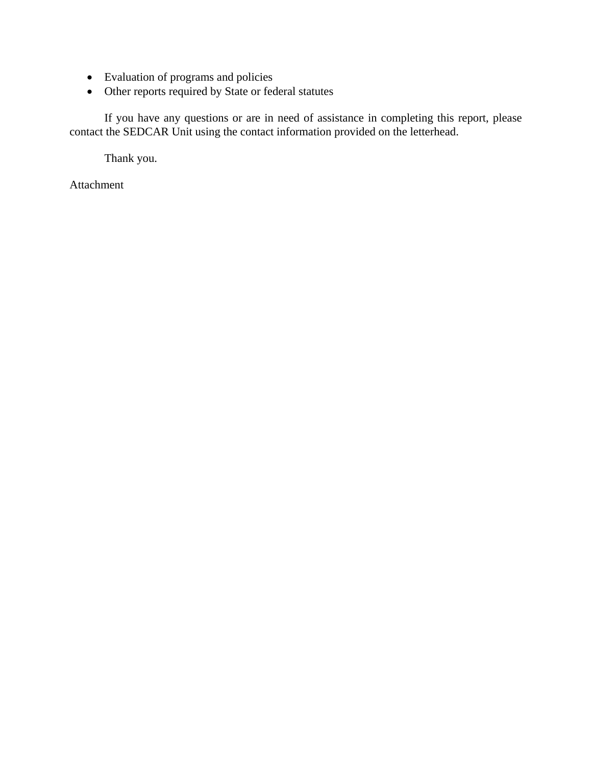- Evaluation of programs and policies
- Other reports required by State or federal statutes

If you have any questions or are in need of assistance in completing this report, please contact the SEDCAR Unit using the contact information provided on the letterhead.

Thank you.

Attachment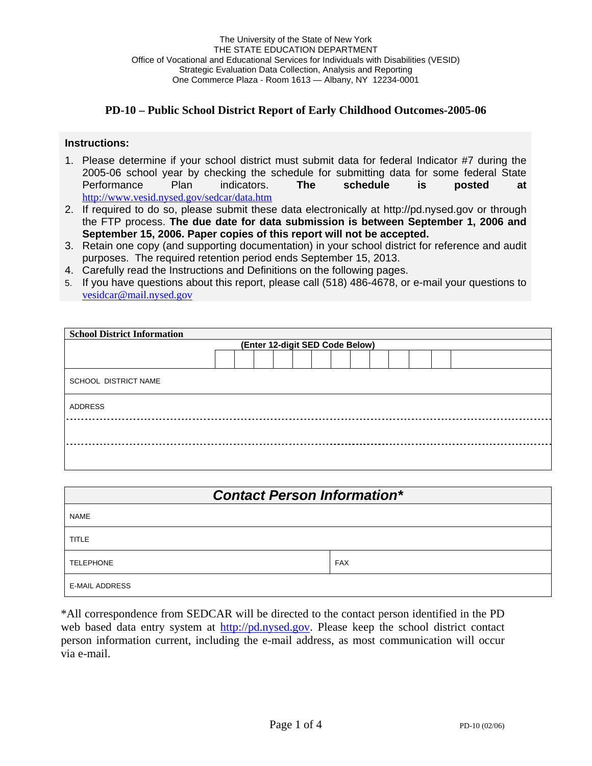#### **PD-10 – Public School District Report of Early Childhood Outcomes-2005-06**

#### **Instructions:**

- 1. Please determine if your school district must submit data for federal Indicator #7 during the 2005-06 school year by checking the schedule for submitting data for some federal State Performance Plan indicators. **The schedule is posted at**  http://www.vesid.nysed.gov/sedcar/data.htm
- 2. If required to do so, please submit these data electronically at http://pd.nysed.gov or through the FTP process. **The due date for data submission is between September 1, 2006 and September 15, 2006. Paper copies of this report will not be accepted.**
- 3. Retain one copy (and supporting documentation) in your school district for reference and audit purposes. The required retention period ends September 15, 2013.
- 4. Carefully read the Instructions and Definitions on the following pages.
- 5. If you have questions about this report, please call (518) 486-4678, or e-mail your questions to vesidcar@mail.nysed.gov

| <b>School District Information</b> |  |  |  |  |  |  |  |  |  |  |  |  |  |
|------------------------------------|--|--|--|--|--|--|--|--|--|--|--|--|--|
| (Enter 12-digit SED Code Below)    |  |  |  |  |  |  |  |  |  |  |  |  |  |
|                                    |  |  |  |  |  |  |  |  |  |  |  |  |  |
| SCHOOL DISTRICT NAME               |  |  |  |  |  |  |  |  |  |  |  |  |  |
| ADDRESS                            |  |  |  |  |  |  |  |  |  |  |  |  |  |
|                                    |  |  |  |  |  |  |  |  |  |  |  |  |  |
|                                    |  |  |  |  |  |  |  |  |  |  |  |  |  |

| <b>Contact Person Information*</b> |            |  |  |  |  |  |  |  |
|------------------------------------|------------|--|--|--|--|--|--|--|
| <b>NAME</b>                        |            |  |  |  |  |  |  |  |
| <b>TITLE</b>                       |            |  |  |  |  |  |  |  |
| <b>TELEPHONE</b>                   | <b>FAX</b> |  |  |  |  |  |  |  |
| <b>E-MAIL ADDRESS</b>              |            |  |  |  |  |  |  |  |

\*All correspondence from SEDCAR will be directed to the contact person identified in the PD web based data entry system at http://pd.nysed.gov. Please keep the school district contact person information current, including the e-mail address, as most communication will occur via e-mail.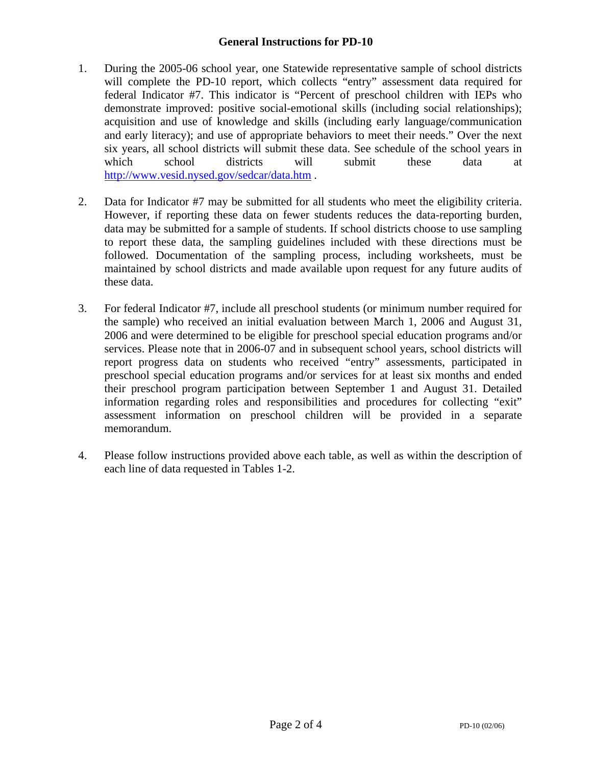## **General Instructions for PD-10**

- 1. During the 2005-06 school year, one Statewide representative sample of school districts will complete the PD-10 report, which collects "entry" assessment data required for federal Indicator #7. This indicator is "Percent of preschool children with IEPs who demonstrate improved: positive social-emotional skills (including social relationships); acquisition and use of knowledge and skills (including early language/communication and early literacy); and use of appropriate behaviors to meet their needs." Over the next six years, all school districts will submit these data. See schedule of the school years in which school districts will submit these data at http://www.vesid.nysed.gov/sedcar/data.htm .
- 2. Data for Indicator #7 may be submitted for all students who meet the eligibility criteria. However, if reporting these data on fewer students reduces the data-reporting burden, data may be submitted for a sample of students. If school districts choose to use sampling to report these data, the sampling guidelines included with these directions must be followed. Documentation of the sampling process, including worksheets, must be maintained by school districts and made available upon request for any future audits of these data.
- 3. For federal Indicator #7, include all preschool students (or minimum number required for the sample) who received an initial evaluation between March 1, 2006 and August 31, 2006 and were determined to be eligible for preschool special education programs and/or services. Please note that in 2006-07 and in subsequent school years, school districts will report progress data on students who received "entry" assessments, participated in preschool special education programs and/or services for at least six months and ended their preschool program participation between September 1 and August 31. Detailed information regarding roles and responsibilities and procedures for collecting "exit" assessment information on preschool children will be provided in a separate memorandum.
- 4. Please follow instructions provided above each table, as well as within the description of each line of data requested in Tables 1-2.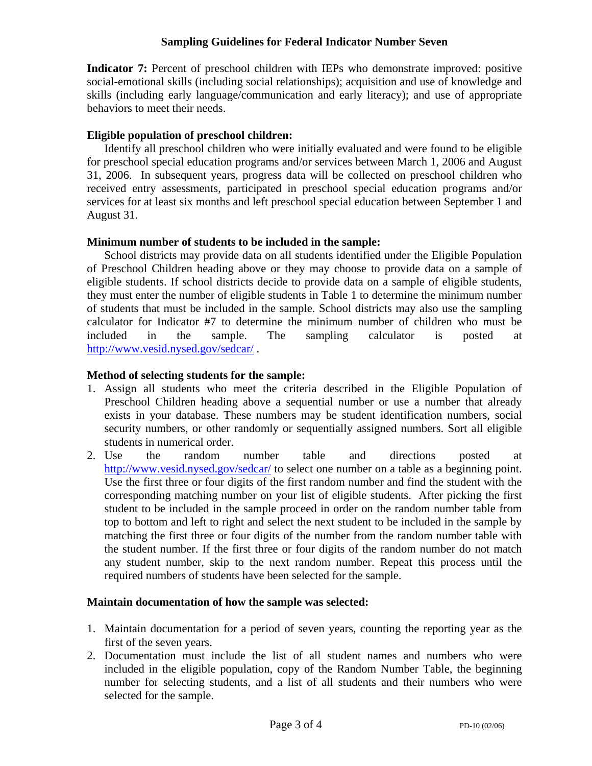## **Sampling Guidelines for Federal Indicator Number Seven**

**Indicator 7:** Percent of preschool children with IEPs who demonstrate improved: positive social-emotional skills (including social relationships); acquisition and use of knowledge and skills (including early language/communication and early literacy); and use of appropriate behaviors to meet their needs.

## **Eligible population of preschool children:**

Identify all preschool children who were initially evaluated and were found to be eligible for preschool special education programs and/or services between March 1, 2006 and August 31, 2006. In subsequent years, progress data will be collected on preschool children who received entry assessments, participated in preschool special education programs and/or services for at least six months and left preschool special education between September 1 and August 31.

## **Minimum number of students to be included in the sample:**

School districts may provide data on all students identified under the Eligible Population of Preschool Children heading above or they may choose to provide data on a sample of eligible students. If school districts decide to provide data on a sample of eligible students, they must enter the number of eligible students in Table 1 to determine the minimum number of students that must be included in the sample. School districts may also use the sampling calculator for Indicator #7 to determine the minimum number of children who must be included in the sample. The sampling calculator is posted at http://www.vesid.nysed.gov/sedcar/ .

## **Method of selecting students for the sample:**

- 1. Assign all students who meet the criteria described in the Eligible Population of Preschool Children heading above a sequential number or use a number that already exists in your database. These numbers may be student identification numbers, social security numbers, or other randomly or sequentially assigned numbers. Sort all eligible students in numerical order.
- 2. Use the random number table and directions posted at http://www.vesid.nysed.gov/sedcar/ to select one number on a table as a beginning point. Use the first three or four digits of the first random number and find the student with the corresponding matching number on your list of eligible students. After picking the first student to be included in the sample proceed in order on the random number table from top to bottom and left to right and select the next student to be included in the sample by matching the first three or four digits of the number from the random number table with the student number. If the first three or four digits of the random number do not match any student number, skip to the next random number. Repeat this process until the required numbers of students have been selected for the sample.

#### **Maintain documentation of how the sample was selected:**

- 1. Maintain documentation for a period of seven years, counting the reporting year as the first of the seven years.
- 2. Documentation must include the list of all student names and numbers who were included in the eligible population, copy of the Random Number Table, the beginning number for selecting students, and a list of all students and their numbers who were selected for the sample.